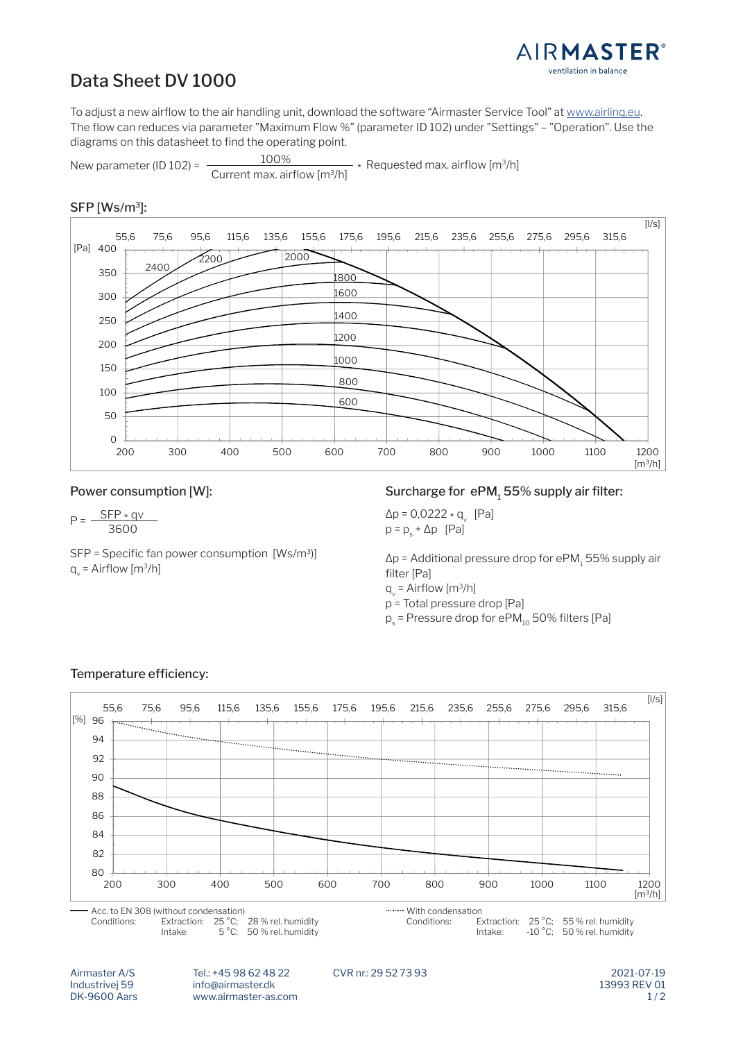

# Data Sheet DV 1000

To adjust a new airflow to the air handling unit, download the software "Airmaster Service Tool" at www.airlinq.eu. The flow can reduces via parameter "Maximum Flow %" (parameter ID 102) under "Settings" – "Operation". Use the diagrams on this datasheet to find the operating point.

New parameter (ID 102) =  $\frac{100\%}{\text{Current max. airflow [m}^3/h]}$  $-$  \* Requested max. airflow [m<sup>3</sup>/h]

### SFP [Ws/m3]:



#### Power consumption [W]:

3600  $P = \frac{SFP \times qv}{v}$ 

SFP = Specific fan power consumption  $[Ws/m^3]$  $q_v$  = Airflow [m $3/h$ ]

Surcharge for ePM, 55% supply air filter:

 $\Delta p = 0.0222 \times q_V$  [Pa]  $\Delta p = 0,0222 \times q_{v}$  [Pa]<br>3600  $p = p_{s} + \Delta p$  [Pa]

> $\Delta p$  = Additional pressure drop for ePM $_{1}$  55% supply air filter [Pa]

 $q_v$  = Airflow [m<sup>3</sup>/h]

p = Total pressure drop [Pa]

 $p_{\rm s}$  = Pressure drop for ePM $_{10}$  50% filters [Pa]



## Temperature efficiency:

 2021-07-19 Airmaster A/S Tel.: +45 98 62 48 22 CVR nr.: 29 52 73 93 Industrivej 59 info@airmaster.dk 13993 REV 01<br>- 13993 REV 01  $Br$  5000 Adis  $M$  with  $R$ <sub>55</sub>  $C$ ;  $S$ 55  $S$ DK-9600 Aars www.airmaster-as.com

 $1/2$